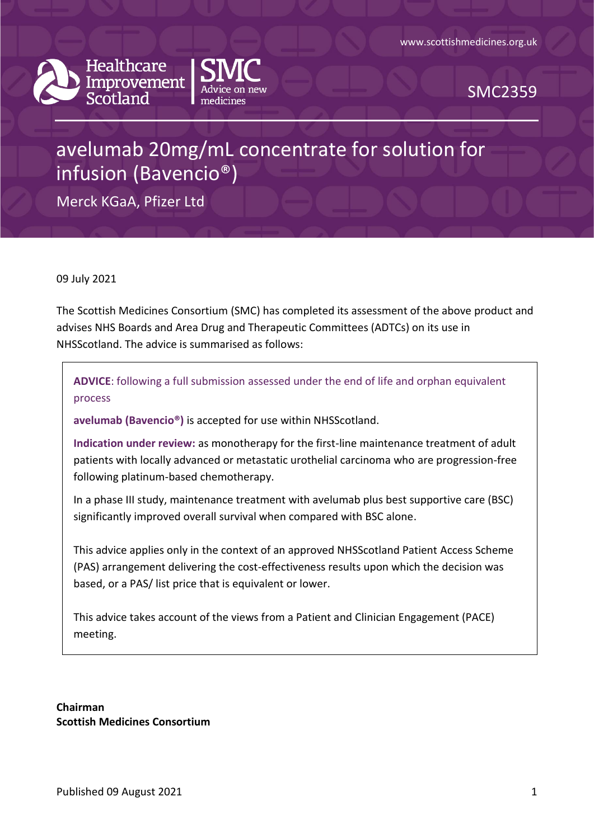



SMC2359

# avelumab 20mg/mL concentrate for solution for infusion (Bavencio®)

Merck KGaA, Pfizer Ltd

09 July 2021

The Scottish Medicines Consortium (SMC) has completed its assessment of the above product and advises NHS Boards and Area Drug and Therapeutic Committees (ADTCs) on its use in NHSScotland. The advice is summarised as follows:

**ADVICE**: following a full submission assessed under the end of life and orphan equivalent process

**avelumab (Bavencio®)** is accepted for use within NHSScotland.

**Indication under review:** as monotherapy for the first-line maintenance treatment of adult patients with locally advanced or metastatic urothelial carcinoma who are progression-free following platinum-based chemotherapy.

In a phase III study, maintenance treatment with avelumab plus best supportive care (BSC) significantly improved overall survival when compared with BSC alone.

This advice applies only in the context of an approved NHSScotland Patient Access Scheme (PAS) arrangement delivering the cost-effectiveness results upon which the decision was based, or a PAS/ list price that is equivalent or lower.

This advice takes account of the views from a Patient and Clinician Engagement (PACE) meeting.

**Chairman Scottish Medicines Consortium**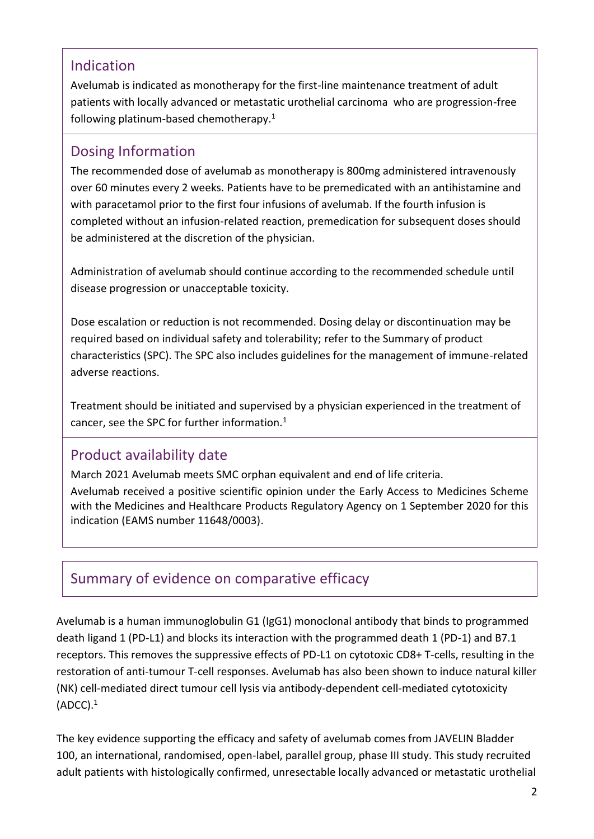### Indication

Avelumab is indicated as monotherapy for the first-line maintenance treatment of adult patients with locally advanced or metastatic urothelial carcinoma who are progression-free following platinum-based chemotherapy.<sup>1</sup>

#### Dosing Information

The recommended dose of avelumab as monotherapy is 800mg administered intravenously over 60 minutes every 2 weeks. Patients have to be premedicated with an antihistamine and with paracetamol prior to the first four infusions of avelumab. If the fourth infusion is completed without an infusion-related reaction, premedication for subsequent doses should be administered at the discretion of the physician.

Administration of avelumab should continue according to the recommended schedule until disease progression or unacceptable toxicity.

Dose escalation or reduction is not recommended. Dosing delay or discontinuation may be required based on individual safety and tolerability; refer to the Summary of product characteristics (SPC). The SPC also includes guidelines for the management of immune-related adverse reactions.

Treatment should be initiated and supervised by a physician experienced in the treatment of cancer, see the SPC for further information.<sup>1</sup>

### Product availability date

March 2021 Avelumab meets SMC orphan equivalent and end of life criteria.

Avelumab received a positive scientific opinion under the Early Access to Medicines Scheme with the Medicines and Healthcare Products Regulatory Agency on 1 September 2020 for this indication (EAMS number 11648/0003).

### Summary of evidence on comparative efficacy

Avelumab is a human immunoglobulin G1 (IgG1) monoclonal antibody that binds to programmed death ligand 1 (PD-L1) and blocks its interaction with the programmed death 1 (PD-1) and B7.1 receptors. This removes the suppressive effects of PD-L1 on cytotoxic CD8+ T-cells, resulting in the restoration of anti-tumour T-cell responses. Avelumab has also been shown to induce natural killer (NK) cell-mediated direct tumour cell lysis via antibody-dependent cell-mediated cytotoxicity  $(ADC)$ . $<sup>1</sup>$ </sup>

The key evidence supporting the efficacy and safety of avelumab comes from JAVELIN Bladder 100, an international, randomised, open-label, parallel group, phase III study. This study recruited adult patients with histologically confirmed, unresectable locally advanced or metastatic urothelial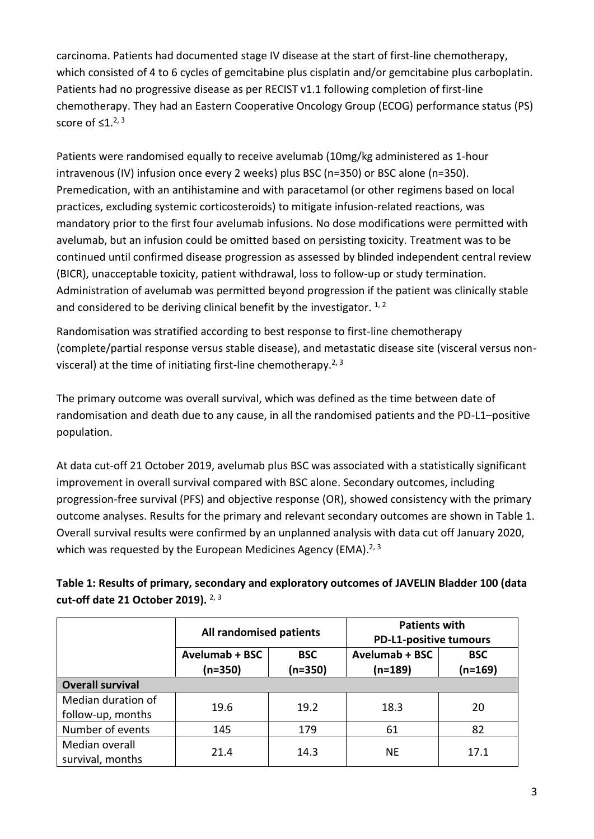carcinoma. Patients had documented stage IV disease at the start of first-line chemotherapy, which consisted of 4 to 6 cycles of gemcitabine plus cisplatin and/or gemcitabine plus carboplatin. Patients had no progressive disease as per RECIST v1.1 following completion of first-line chemotherapy. They had an Eastern Cooperative Oncology Group (ECOG) performance status (PS) score of  $\leq 1.^{2,3}$ 

Patients were randomised equally to receive avelumab (10mg/kg administered as 1-hour intravenous (IV) infusion once every 2 weeks) plus BSC (n=350) or BSC alone (n=350). Premedication, with an antihistamine and with paracetamol (or other regimens based on local practices, excluding systemic corticosteroids) to mitigate infusion-related reactions, was mandatory prior to the first four avelumab infusions. No dose modifications were permitted with avelumab, but an infusion could be omitted based on persisting toxicity. Treatment was to be continued until confirmed disease progression as assessed by blinded independent central review (BICR), unacceptable toxicity, patient withdrawal, loss to follow-up or study termination. Administration of avelumab was permitted beyond progression if the patient was clinically stable and considered to be deriving clinical benefit by the investigator.  $1, 2$ 

Randomisation was stratified according to best response to first-line chemotherapy (complete/partial response versus stable disease), and metastatic disease site (visceral versus nonvisceral) at the time of initiating first-line chemotherapy.<sup>2, 3</sup>

The primary outcome was overall survival, which was defined as the time between date of randomisation and death due to any cause, in all the randomised patients and the PD-L1–positive population.

At data cut-off 21 October 2019, avelumab plus BSC was associated with a statistically significant improvement in overall survival compared with BSC alone. Secondary outcomes, including progression-free survival (PFS) and objective response (OR), showed consistency with the primary outcome analyses. Results for the primary and relevant secondary outcomes are shown in Table 1. Overall survival results were confirmed by an unplanned analysis with data cut off January 2020, which was requested by the European Medicines Agency (EMA).<sup>2, 3</sup>

|                                         | All randomised patients     |                         | <b>Patients with</b><br><b>PD-L1-positive tumours</b> |                         |
|-----------------------------------------|-----------------------------|-------------------------|-------------------------------------------------------|-------------------------|
|                                         | Avelumab + BSC<br>$(n=350)$ | <b>BSC</b><br>$(n=350)$ | <b>Avelumab + BSC</b><br>(n=189)                      | <b>BSC</b><br>$(n=169)$ |
| <b>Overall survival</b>                 |                             |                         |                                                       |                         |
| Median duration of<br>follow-up, months | 19.6                        | 19.2                    | 18.3                                                  | 20                      |
| Number of events                        | 145                         | 179                     | 61                                                    | 82                      |
| Median overall<br>survival, months      | 21.4                        | 14.3                    | <b>NE</b>                                             | 17.1                    |

**Table 1: Results of primary, secondary and exploratory outcomes of JAVELIN Bladder 100 (data cut-off date 21 October 2019).** 2, 3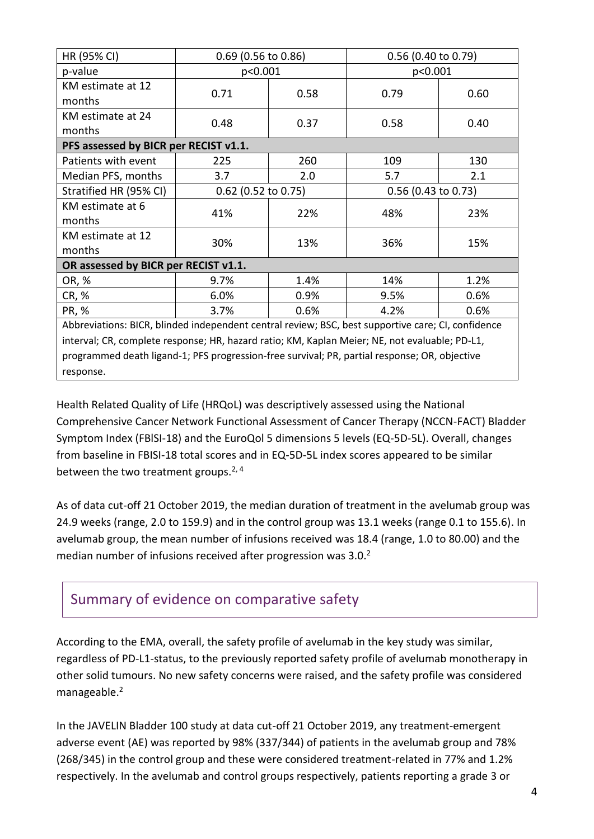| HR (95% CI)                                                                                        | $0.69$ (0.56 to 0.86) |      | 0.56 (0.40 to 0.79)   |      |
|----------------------------------------------------------------------------------------------------|-----------------------|------|-----------------------|------|
| p-value                                                                                            | p<0.001               |      | p<0.001               |      |
| KM estimate at 12<br>months                                                                        | 0.71                  | 0.58 | 0.79                  | 0.60 |
| KM estimate at 24<br>months                                                                        | 0.48                  | 0.37 | 0.58                  | 0.40 |
| PFS assessed by BICR per RECIST v1.1.                                                              |                       |      |                       |      |
| Patients with event                                                                                | 225                   | 260  | 109                   | 130  |
| Median PFS, months                                                                                 | 3.7                   | 2.0  | 5.7                   | 2.1  |
| Stratified HR (95% CI)                                                                             | $0.62$ (0.52 to 0.75) |      | $0.56$ (0.43 to 0.73) |      |
| KM estimate at 6<br>months                                                                         | 41%                   | 22%  | 48%                   | 23%  |
| KM estimate at 12<br>months                                                                        | 30%                   | 13%  | 36%                   | 15%  |
| OR assessed by BICR per RECIST v1.1.                                                               |                       |      |                       |      |
| OR, %                                                                                              | 9.7%                  | 1.4% | 14%                   | 1.2% |
| CR, %                                                                                              | 6.0%                  | 0.9% | 9.5%                  | 0.6% |
| PR, %                                                                                              | 3.7%                  | 0.6% | 4.2%                  | 0.6% |
| Abbreviations: BICR, blinded independent central review; BSC, best supportive care; CI, confidence |                       |      |                       |      |
| interval; CR, complete response; HR, hazard ratio; KM, Kaplan Meier; NE, not evaluable; PD-L1,     |                       |      |                       |      |
| programmed death ligand-1; PFS progression-free survival; PR, partial response; OR, objective      |                       |      |                       |      |
| response.                                                                                          |                       |      |                       |      |

Health Related Quality of Life (HRQoL) was descriptively assessed using the National Comprehensive Cancer Network Functional Assessment of Cancer Therapy (NCCN-FACT) Bladder Symptom Index (FBlSI-18) and the EuroQol 5 dimensions 5 levels (EQ-5D-5L). Overall, changes from baseline in FBISI-18 total scores and in EQ-5D-5L index scores appeared to be similar between the two treatment groups.<sup>2, 4</sup>

As of data cut-off 21 October 2019, the median duration of treatment in the avelumab group was 24.9 weeks (range, 2.0 to 159.9) and in the control group was 13.1 weeks (range 0.1 to 155.6). In avelumab group, the mean number of infusions received was 18.4 (range, 1.0 to 80.00) and the median number of infusions received after progression was  $3.0<sup>2</sup>$ 

### Summary of evidence on comparative safety

According to the EMA, overall, the safety profile of avelumab in the key study was similar, regardless of PD-L1-status, to the previously reported safety profile of avelumab monotherapy in other solid tumours. No new safety concerns were raised, and the safety profile was considered manageable.<sup>2</sup>

In the JAVELIN Bladder 100 study at data cut-off 21 October 2019, any treatment-emergent adverse event (AE) was reported by 98% (337/344) of patients in the avelumab group and 78% (268/345) in the control group and these were considered treatment-related in 77% and 1.2% respectively. In the avelumab and control groups respectively, patients reporting a grade 3 or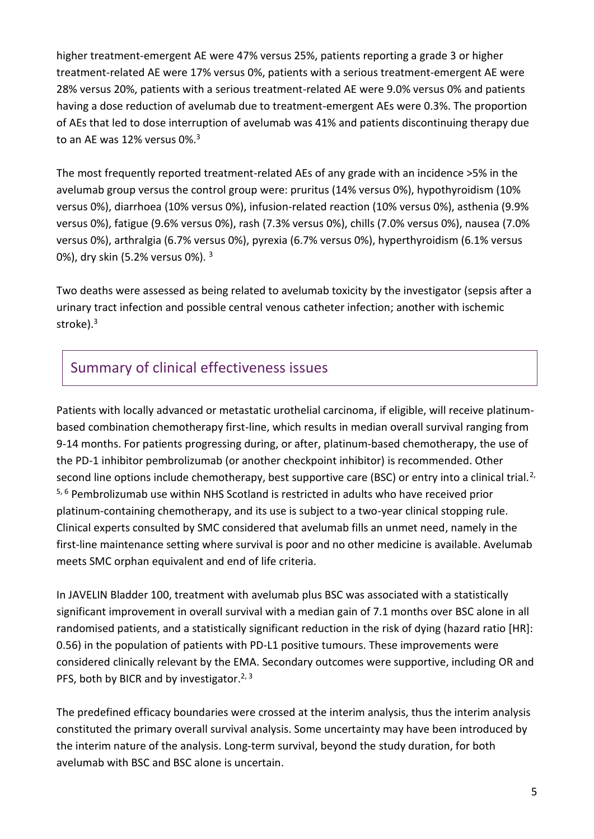higher treatment-emergent AE were 47% versus 25%, patients reporting a grade 3 or higher treatment-related AE were 17% versus 0%, patients with a serious treatment-emergent AE were 28% versus 20%, patients with a serious treatment-related AE were 9.0% versus 0% and patients having a dose reduction of avelumab due to treatment-emergent AEs were 0.3%. The proportion of AEs that led to dose interruption of avelumab was 41% and patients discontinuing therapy due to an AE was 12% versus 0%.<sup>3</sup>

The most frequently reported treatment-related AEs of any grade with an incidence >5% in the avelumab group versus the control group were: pruritus (14% versus 0%), hypothyroidism (10% versus 0%), diarrhoea (10% versus 0%), infusion-related reaction (10% versus 0%), asthenia (9.9% versus 0%), fatigue (9.6% versus 0%), rash (7.3% versus 0%), chills (7.0% versus 0%), nausea (7.0% versus 0%), arthralgia (6.7% versus 0%), pyrexia (6.7% versus 0%), hyperthyroidism (6.1% versus 0%), dry skin (5.2% versus 0%). <sup>3</sup>

Two deaths were assessed as being related to avelumab toxicity by the investigator (sepsis after a urinary tract infection and possible central venous catheter infection; another with ischemic stroke). 3

# Summary of clinical effectiveness issues

Patients with locally advanced or metastatic urothelial carcinoma, if eligible, will receive platinumbased combination chemotherapy first-line, which results in median overall survival ranging from 9-14 months. For patients progressing during, or after, platinum-based chemotherapy, the use of the PD-1 inhibitor pembrolizumab (or another checkpoint inhibitor) is recommended. Other second line options include chemotherapy, best supportive care (BSC) or entry into a clinical trial.<sup>2,</sup> 5, 6 Pembrolizumab use within NHS Scotland is restricted in adults who have received prior platinum-containing chemotherapy, and its use is subject to a two-year clinical stopping rule. Clinical experts consulted by SMC considered that avelumab fills an unmet need, namely in the first-line maintenance setting where survival is poor and no other medicine is available. Avelumab meets SMC orphan equivalent and end of life criteria.

In JAVELIN Bladder 100, treatment with avelumab plus BSC was associated with a statistically significant improvement in overall survival with a median gain of 7.1 months over BSC alone in all randomised patients, and a statistically significant reduction in the risk of dying (hazard ratio [HR]: 0.56) in the population of patients with PD-L1 positive tumours. These improvements were considered clinically relevant by the EMA. Secondary outcomes were supportive, including OR and PFS, both by BICR and by investigator.<sup>2, 3</sup>

The predefined efficacy boundaries were crossed at the interim analysis, thus the interim analysis constituted the primary overall survival analysis. Some uncertainty may have been introduced by the interim nature of the analysis. Long-term survival, beyond the study duration, for both avelumab with BSC and BSC alone is uncertain.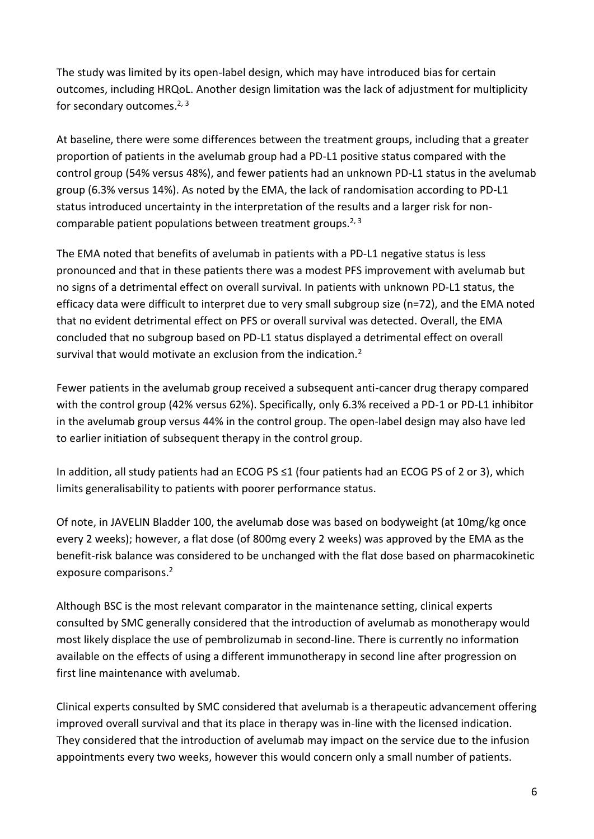The study was limited by its open-label design, which may have introduced bias for certain outcomes, including HRQoL. Another design limitation was the lack of adjustment for multiplicity for secondary outcomes.<sup>2, 3</sup>

At baseline, there were some differences between the treatment groups, including that a greater proportion of patients in the avelumab group had a PD-L1 positive status compared with the control group (54% versus 48%), and fewer patients had an unknown PD-L1 status in the avelumab group (6.3% versus 14%). As noted by the EMA, the lack of randomisation according to PD-L1 status introduced uncertainty in the interpretation of the results and a larger risk for noncomparable patient populations between treatment groups.<sup>2, 3</sup>

The EMA noted that benefits of avelumab in patients with a PD-L1 negative status is less pronounced and that in these patients there was a modest PFS improvement with avelumab but no signs of a detrimental effect on overall survival. In patients with unknown PD-L1 status, the efficacy data were difficult to interpret due to very small subgroup size (n=72), and the EMA noted that no evident detrimental effect on PFS or overall survival was detected. Overall, the EMA concluded that no subgroup based on PD-L1 status displayed a detrimental effect on overall survival that would motivate an exclusion from the indication.<sup>2</sup>

Fewer patients in the avelumab group received a subsequent anti-cancer drug therapy compared with the control group (42% versus 62%). Specifically, only 6.3% received a PD-1 or PD-L1 inhibitor in the avelumab group versus 44% in the control group. The open-label design may also have led to earlier initiation of subsequent therapy in the control group.

In addition, all study patients had an ECOG PS ≤1 (four patients had an ECOG PS of 2 or 3), which limits generalisability to patients with poorer performance status.

Of note, in JAVELIN Bladder 100, the avelumab dose was based on bodyweight (at 10mg/kg once every 2 weeks); however, a flat dose (of 800mg every 2 weeks) was approved by the EMA as the benefit-risk balance was considered to be unchanged with the flat dose based on pharmacokinetic exposure comparisons. 2

Although BSC is the most relevant comparator in the maintenance setting, clinical experts consulted by SMC generally considered that the introduction of avelumab as monotherapy would most likely displace the use of pembrolizumab in second-line. There is currently no information available on the effects of using a different immunotherapy in second line after progression on first line maintenance with avelumab.

Clinical experts consulted by SMC considered that avelumab is a therapeutic advancement offering improved overall survival and that its place in therapy was in-line with the licensed indication. They considered that the introduction of avelumab may impact on the service due to the infusion appointments every two weeks, however this would concern only a small number of patients.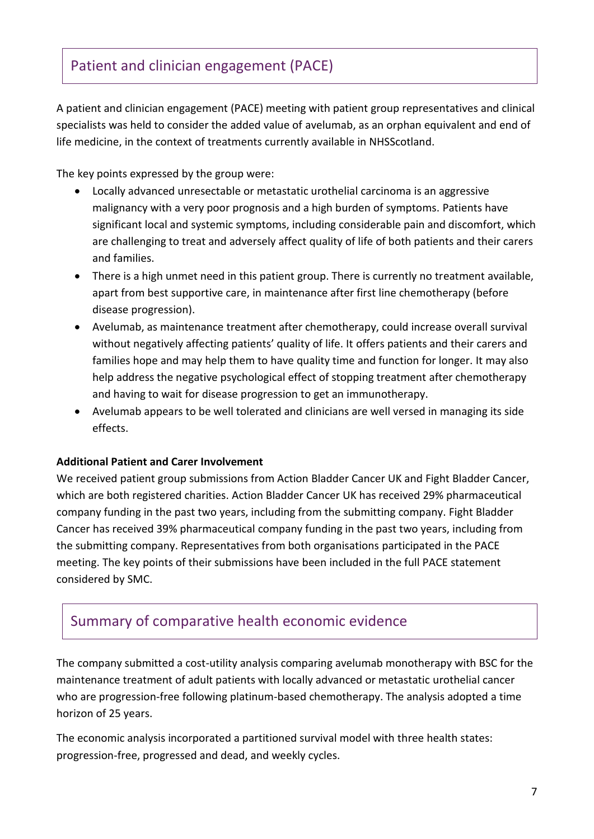# Patient and clinician engagement (PACE)

A patient and clinician engagement (PACE) meeting with patient group representatives and clinical specialists was held to consider the added value of avelumab, as an orphan equivalent and end of life medicine, in the context of treatments currently available in NHSScotland.

The key points expressed by the group were:

- Locally advanced unresectable or metastatic urothelial carcinoma is an aggressive malignancy with a very poor prognosis and a high burden of symptoms. Patients have significant local and systemic symptoms, including considerable pain and discomfort, which are challenging to treat and adversely affect quality of life of both patients and their carers and families.
- There is a high unmet need in this patient group. There is currently no treatment available, apart from best supportive care, in maintenance after first line chemotherapy (before disease progression).
- Avelumab, as maintenance treatment after chemotherapy, could increase overall survival without negatively affecting patients' quality of life. It offers patients and their carers and families hope and may help them to have quality time and function for longer. It may also help address the negative psychological effect of stopping treatment after chemotherapy and having to wait for disease progression to get an immunotherapy.
- Avelumab appears to be well tolerated and clinicians are well versed in managing its side effects.

#### **Additional Patient and Carer Involvement**

We received patient group submissions from Action Bladder Cancer UK and Fight Bladder Cancer, which are both registered charities. Action Bladder Cancer UK has received 29% pharmaceutical company funding in the past two years, including from the submitting company. Fight Bladder Cancer has received 39% pharmaceutical company funding in the past two years, including from the submitting company. Representatives from both organisations participated in the PACE meeting. The key points of their submissions have been included in the full PACE statement considered by SMC.

### Summary of comparative health economic evidence

The company submitted a cost-utility analysis comparing avelumab monotherapy with BSC for the maintenance treatment of adult patients with locally advanced or metastatic urothelial cancer who are progression-free following platinum-based chemotherapy. The analysis adopted a time horizon of 25 years.

The economic analysis incorporated a partitioned survival model with three health states: progression-free, progressed and dead, and weekly cycles.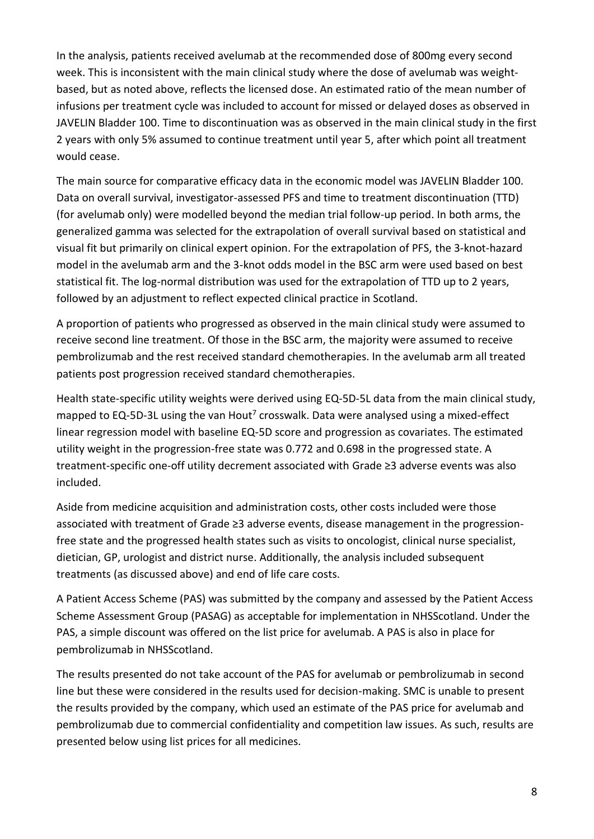In the analysis, patients received avelumab at the recommended dose of 800mg every second week. This is inconsistent with the main clinical study where the dose of avelumab was weightbased, but as noted above, reflects the licensed dose. An estimated ratio of the mean number of infusions per treatment cycle was included to account for missed or delayed doses as observed in JAVELIN Bladder 100. Time to discontinuation was as observed in the main clinical study in the first 2 years with only 5% assumed to continue treatment until year 5, after which point all treatment would cease.

The main source for comparative efficacy data in the economic model was JAVELIN Bladder 100. Data on overall survival, investigator-assessed PFS and time to treatment discontinuation (TTD) (for avelumab only) were modelled beyond the median trial follow-up period. In both arms, the generalized gamma was selected for the extrapolation of overall survival based on statistical and visual fit but primarily on clinical expert opinion. For the extrapolation of PFS, the 3-knot-hazard model in the avelumab arm and the 3-knot odds model in the BSC arm were used based on best statistical fit. The log-normal distribution was used for the extrapolation of TTD up to 2 years, followed by an adjustment to reflect expected clinical practice in Scotland.

A proportion of patients who progressed as observed in the main clinical study were assumed to receive second line treatment. Of those in the BSC arm, the majority were assumed to receive pembrolizumab and the rest received standard chemotherapies. In the avelumab arm all treated patients post progression received standard chemotherapies.

Health state-specific utility weights were derived using EQ-5D-5L data from the main clinical study, mapped to EQ-5D-3L using the van Hout<sup>7</sup> crosswalk. Data were analysed using a mixed-effect linear regression model with baseline EQ-5D score and progression as covariates. The estimated utility weight in the progression-free state was 0.772 and 0.698 in the progressed state. A treatment-specific one-off utility decrement associated with Grade ≥3 adverse events was also included.

Aside from medicine acquisition and administration costs, other costs included were those associated with treatment of Grade ≥3 adverse events, disease management in the progressionfree state and the progressed health states such as visits to oncologist, clinical nurse specialist, dietician, GP, urologist and district nurse. Additionally, the analysis included subsequent treatments (as discussed above) and end of life care costs.

A Patient Access Scheme (PAS) was submitted by the company and assessed by the Patient Access Scheme Assessment Group (PASAG) as acceptable for implementation in NHSScotland. Under the PAS, a simple discount was offered on the list price for avelumab. A PAS is also in place for pembrolizumab in NHSScotland.

The results presented do not take account of the PAS for avelumab or pembrolizumab in second line but these were considered in the results used for decision-making. SMC is unable to present the results provided by the company, which used an estimate of the PAS price for avelumab and pembrolizumab due to commercial confidentiality and competition law issues. As such, results are presented below using list prices for all medicines.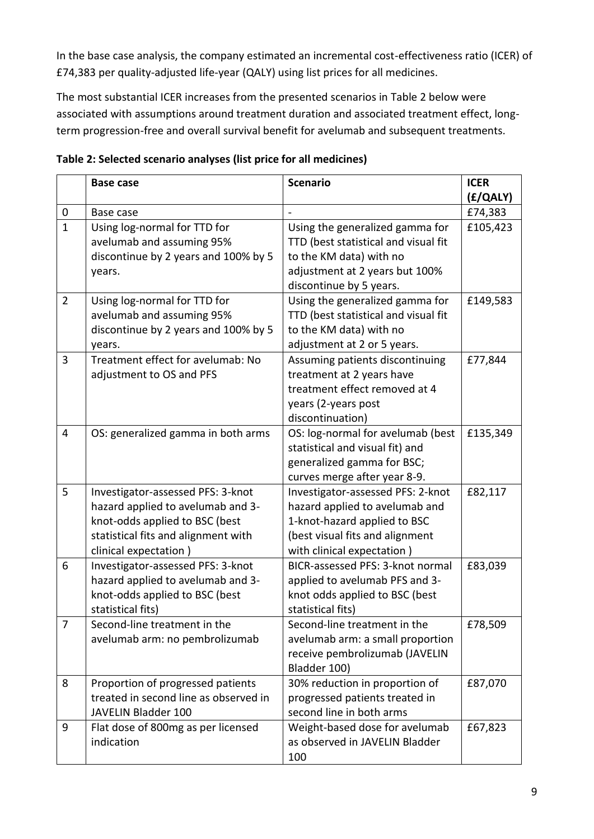In the base case analysis, the company estimated an incremental cost-effectiveness ratio (ICER) of £74,383 per quality-adjusted life-year (QALY) using list prices for all medicines.

The most substantial ICER increases from the presented scenarios in Table 2 below were associated with assumptions around treatment duration and associated treatment effect, longterm progression-free and overall survival benefit for avelumab and subsequent treatments.

|                | <b>Base case</b>                      | <b>Scenario</b>                      | <b>ICER</b> |
|----------------|---------------------------------------|--------------------------------------|-------------|
|                |                                       |                                      | (f/QALY)    |
| 0              | Base case                             |                                      | £74,383     |
| $\mathbf{1}$   | Using log-normal for TTD for          | Using the generalized gamma for      | £105,423    |
|                | avelumab and assuming 95%             | TTD (best statistical and visual fit |             |
|                | discontinue by 2 years and 100% by 5  | to the KM data) with no              |             |
|                | years.                                | adjustment at 2 years but 100%       |             |
|                |                                       | discontinue by 5 years.              |             |
| $\overline{2}$ | Using log-normal for TTD for          | Using the generalized gamma for      | £149,583    |
|                | avelumab and assuming 95%             | TTD (best statistical and visual fit |             |
|                | discontinue by 2 years and 100% by 5  | to the KM data) with no              |             |
|                | years.                                | adjustment at 2 or 5 years.          |             |
| 3              | Treatment effect for avelumab: No     | Assuming patients discontinuing      | £77,844     |
|                | adjustment to OS and PFS              | treatment at 2 years have            |             |
|                |                                       | treatment effect removed at 4        |             |
|                |                                       | years (2-years post                  |             |
|                |                                       | discontinuation)                     |             |
| $\overline{4}$ | OS: generalized gamma in both arms    | OS: log-normal for avelumab (best    | £135,349    |
|                |                                       | statistical and visual fit) and      |             |
|                |                                       | generalized gamma for BSC;           |             |
|                |                                       | curves merge after year 8-9.         |             |
| 5              | Investigator-assessed PFS: 3-knot     | Investigator-assessed PFS: 2-knot    | £82,117     |
|                | hazard applied to avelumab and 3-     | hazard applied to avelumab and       |             |
|                | knot-odds applied to BSC (best        | 1-knot-hazard applied to BSC         |             |
|                | statistical fits and alignment with   | (best visual fits and alignment      |             |
|                | clinical expectation)                 | with clinical expectation)           |             |
| 6              | Investigator-assessed PFS: 3-knot     | BICR-assessed PFS: 3-knot normal     | £83,039     |
|                | hazard applied to avelumab and 3-     | applied to avelumab PFS and 3-       |             |
|                | knot-odds applied to BSC (best        | knot odds applied to BSC (best       |             |
|                | statistical fits)                     | statistical fits)                    |             |
| $\overline{7}$ | Second-line treatment in the          | Second-line treatment in the         | £78,509     |
|                | avelumab arm: no pembrolizumab        | avelumab arm: a small proportion     |             |
|                |                                       | receive pembrolizumab (JAVELIN       |             |
|                |                                       | Bladder 100)                         |             |
| 8              | Proportion of progressed patients     | 30% reduction in proportion of       | £87,070     |
|                | treated in second line as observed in | progressed patients treated in       |             |
|                | JAVELIN Bladder 100                   | second line in both arms             |             |
| 9              | Flat dose of 800mg as per licensed    | Weight-based dose for avelumab       | £67,823     |
|                | indication                            | as observed in JAVELIN Bladder       |             |
|                |                                       | 100                                  |             |

**Table 2: Selected scenario analyses (list price for all medicines)**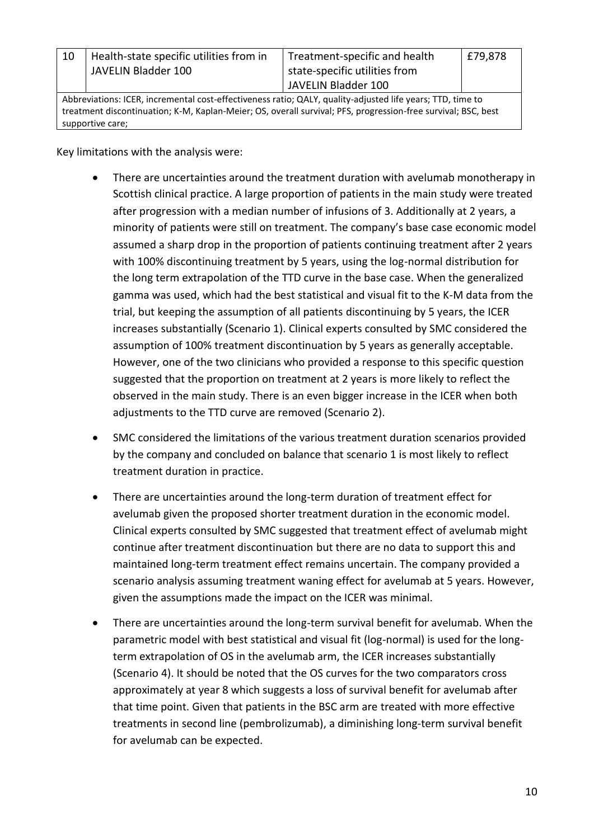| 10                                                                                                            | Health-state specific utilities from in<br>JAVELIN Bladder 100 | Treatment-specific and health<br>state-specific utilities from<br>JAVELIN Bladder 100 | £79,878 |
|---------------------------------------------------------------------------------------------------------------|----------------------------------------------------------------|---------------------------------------------------------------------------------------|---------|
| Abbreviations: ICER, incremental cost-effectiveness ratio; QALY, quality-adjusted life years; TTD, time to    |                                                                |                                                                                       |         |
| treatment discontinuation; K-M, Kaplan-Meier; OS, overall survival; PFS, progression-free survival; BSC, best |                                                                |                                                                                       |         |

Key limitations with the analysis were:

supportive care;

- There are uncertainties around the treatment duration with avelumab monotherapy in Scottish clinical practice. A large proportion of patients in the main study were treated after progression with a median number of infusions of 3. Additionally at 2 years, a minority of patients were still on treatment. The company's base case economic model assumed a sharp drop in the proportion of patients continuing treatment after 2 years with 100% discontinuing treatment by 5 years, using the log-normal distribution for the long term extrapolation of the TTD curve in the base case. When the generalized gamma was used, which had the best statistical and visual fit to the K-M data from the trial, but keeping the assumption of all patients discontinuing by 5 years, the ICER increases substantially (Scenario 1). Clinical experts consulted by SMC considered the assumption of 100% treatment discontinuation by 5 years as generally acceptable. However, one of the two clinicians who provided a response to this specific question suggested that the proportion on treatment at 2 years is more likely to reflect the observed in the main study. There is an even bigger increase in the ICER when both adjustments to the TTD curve are removed (Scenario 2).
- SMC considered the limitations of the various treatment duration scenarios provided by the company and concluded on balance that scenario 1 is most likely to reflect treatment duration in practice.
- There are uncertainties around the long-term duration of treatment effect for avelumab given the proposed shorter treatment duration in the economic model. Clinical experts consulted by SMC suggested that treatment effect of avelumab might continue after treatment discontinuation but there are no data to support this and maintained long-term treatment effect remains uncertain. The company provided a scenario analysis assuming treatment waning effect for avelumab at 5 years. However, given the assumptions made the impact on the ICER was minimal.
- There are uncertainties around the long-term survival benefit for avelumab. When the parametric model with best statistical and visual fit (log-normal) is used for the longterm extrapolation of OS in the avelumab arm, the ICER increases substantially (Scenario 4). It should be noted that the OS curves for the two comparators cross approximately at year 8 which suggests a loss of survival benefit for avelumab after that time point. Given that patients in the BSC arm are treated with more effective treatments in second line (pembrolizumab), a diminishing long-term survival benefit for avelumab can be expected.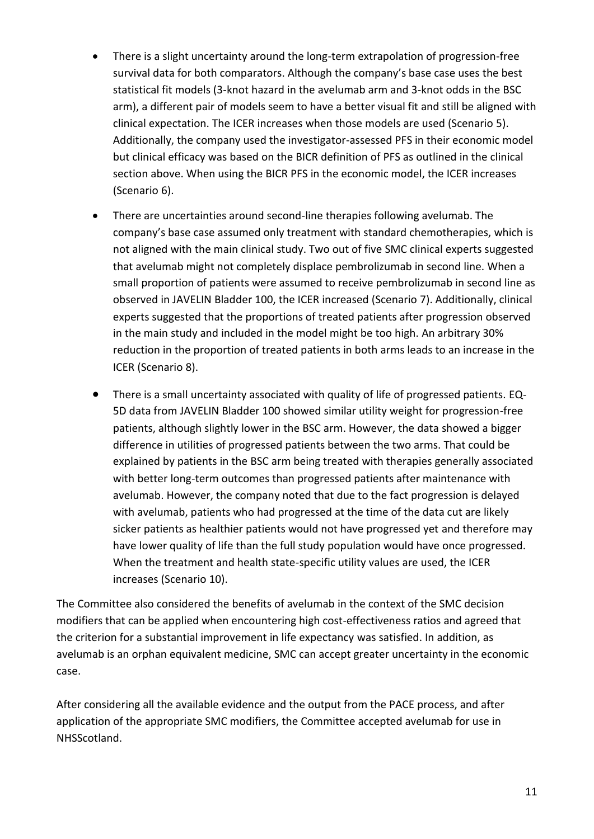- There is a slight uncertainty around the long-term extrapolation of progression-free survival data for both comparators. Although the company's base case uses the best statistical fit models (3-knot hazard in the avelumab arm and 3-knot odds in the BSC arm), a different pair of models seem to have a better visual fit and still be aligned with clinical expectation. The ICER increases when those models are used (Scenario 5). Additionally, the company used the investigator-assessed PFS in their economic model but clinical efficacy was based on the BICR definition of PFS as outlined in the clinical section above. When using the BICR PFS in the economic model, the ICER increases (Scenario 6).
- There are uncertainties around second-line therapies following avelumab. The company's base case assumed only treatment with standard chemotherapies, which is not aligned with the main clinical study. Two out of five SMC clinical experts suggested that avelumab might not completely displace pembrolizumab in second line. When a small proportion of patients were assumed to receive pembrolizumab in second line as observed in JAVELIN Bladder 100, the ICER increased (Scenario 7). Additionally, clinical experts suggested that the proportions of treated patients after progression observed in the main study and included in the model might be too high. An arbitrary 30% reduction in the proportion of treated patients in both arms leads to an increase in the ICER (Scenario 8).
- There is a small uncertainty associated with quality of life of progressed patients. EQ-5D data from JAVELIN Bladder 100 showed similar utility weight for progression-free patients, although slightly lower in the BSC arm. However, the data showed a bigger difference in utilities of progressed patients between the two arms. That could be explained by patients in the BSC arm being treated with therapies generally associated with better long-term outcomes than progressed patients after maintenance with avelumab. However, the company noted that due to the fact progression is delayed with avelumab, patients who had progressed at the time of the data cut are likely sicker patients as healthier patients would not have progressed yet and therefore may have lower quality of life than the full study population would have once progressed. When the treatment and health state-specific utility values are used, the ICER increases (Scenario 10).

The Committee also considered the benefits of avelumab in the context of the SMC decision modifiers that can be applied when encountering high cost-effectiveness ratios and agreed that the criterion for a substantial improvement in life expectancy was satisfied. In addition, as avelumab is an orphan equivalent medicine, SMC can accept greater uncertainty in the economic case.

After considering all the available evidence and the output from the PACE process, and after application of the appropriate SMC modifiers, the Committee accepted avelumab for use in NHSScotland.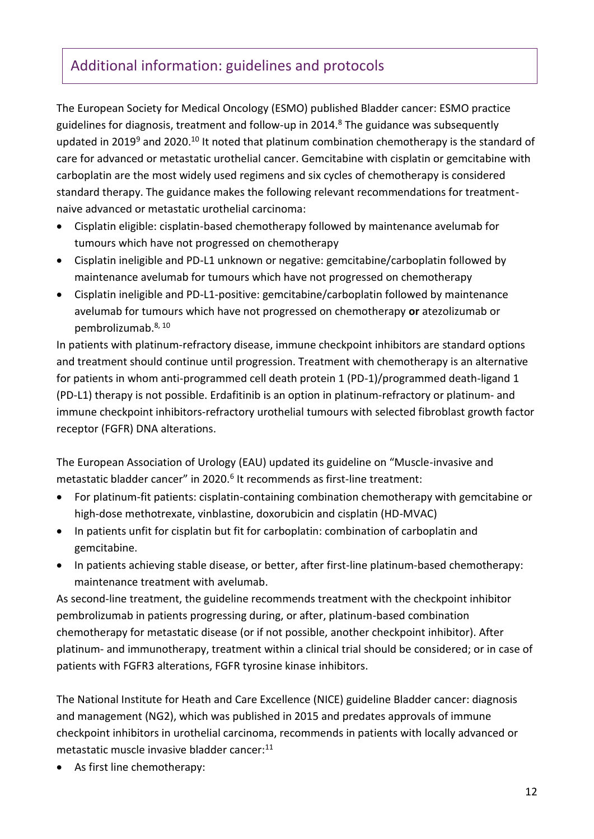# Additional information: guidelines and protocols

The European Society for Medical Oncology (ESMO) published Bladder cancer: ESMO practice guidelines for diagnosis, treatment and follow-up in 2014. $8$  The guidance was subsequently updated in 2019 $9$  and 2020.<sup>10</sup> It noted that platinum combination chemotherapy is the standard of care for advanced or metastatic urothelial cancer. Gemcitabine with cisplatin or gemcitabine with carboplatin are the most widely used regimens and six cycles of chemotherapy is considered standard therapy. The guidance makes the following relevant recommendations for treatmentnaive advanced or metastatic urothelial carcinoma:

- Cisplatin eligible: cisplatin-based chemotherapy followed by maintenance avelumab for tumours which have not progressed on chemotherapy
- Cisplatin ineligible and PD-L1 unknown or negative: gemcitabine/carboplatin followed by maintenance avelumab for tumours which have not progressed on chemotherapy
- Cisplatin ineligible and PD-L1-positive: gemcitabine/carboplatin followed by maintenance avelumab for tumours which have not progressed on chemotherapy **or** atezolizumab or pembrolizumab.8, 10

In patients with platinum-refractory disease, immune checkpoint inhibitors are standard options and treatment should continue until progression. Treatment with chemotherapy is an alternative for patients in whom anti-programmed cell death protein 1 (PD-1)/programmed death-ligand 1 (PD-L1) therapy is not possible. Erdafitinib is an option in platinum-refractory or platinum- and immune checkpoint inhibitors-refractory urothelial tumours with selected fibroblast growth factor receptor (FGFR) DNA alterations.

The European Association of Urology (EAU) updated its guideline on "Muscle-invasive and metastatic bladder cancer" in 2020.<sup>6</sup> It recommends as first-line treatment:

- For platinum-fit patients: cisplatin-containing combination chemotherapy with gemcitabine or high-dose methotrexate, vinblastine, doxorubicin and cisplatin (HD-MVAC)
- In patients unfit for cisplatin but fit for carboplatin: combination of carboplatin and gemcitabine.
- In patients achieving stable disease, or better, after first-line platinum-based chemotherapy: maintenance treatment with avelumab.

As second-line treatment, the guideline recommends treatment with the checkpoint inhibitor pembrolizumab in patients progressing during, or after, platinum-based combination chemotherapy for metastatic disease (or if not possible, another checkpoint inhibitor). After platinum- and immunotherapy, treatment within a clinical trial should be considered; or in case of patients with FGFR3 alterations, FGFR tyrosine kinase inhibitors.

The National Institute for Heath and Care Excellence (NICE) guideline Bladder cancer: diagnosis and management (NG2), which was published in 2015 and predates approvals of immune checkpoint inhibitors in urothelial carcinoma, recommends in patients with locally advanced or metastatic muscle invasive bladder cancer:<sup>11</sup>

As first line chemotherapy: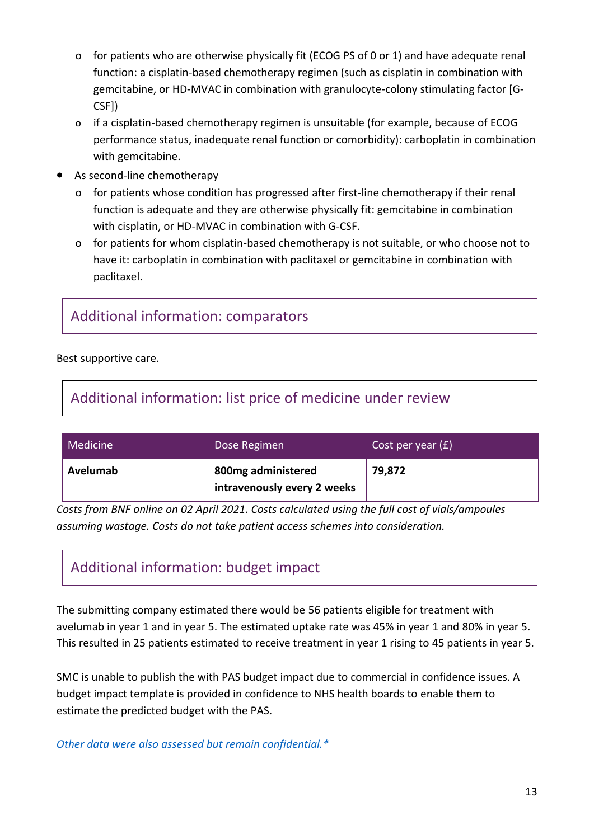- o for patients who are otherwise physically fit (ECOG PS of 0 or 1) and have adequate renal function: a cisplatin-based chemotherapy regimen (such as cisplatin in combination with gemcitabine, or HD-MVAC in combination with granulocyte-colony stimulating factor [G-CSF])
- o if a cisplatin-based chemotherapy regimen is unsuitable (for example, because of ECOG performance status, inadequate renal function or comorbidity): carboplatin in combination with gemcitabine.
- As second-line chemotherapy
	- o for patients whose condition has progressed after first-line chemotherapy if their renal function is adequate and they are otherwise physically fit: gemcitabine in combination with cisplatin, or HD-MVAC in combination with G-CSF.
	- o for patients for whom cisplatin-based chemotherapy is not suitable, or who choose not to have it: carboplatin in combination with paclitaxel or gemcitabine in combination with paclitaxel.

## Additional information: comparators

Best supportive care.

# Additional information: list price of medicine under review

| Medicine | Dose Regimen                                      | Cost per year $(E)$ |
|----------|---------------------------------------------------|---------------------|
| Avelumab | 800mg administered<br>intravenously every 2 weeks | 79,872              |

*Costs from BNF online on 02 April 2021. Costs calculated using the full cost of vials/ampoules assuming wastage. Costs do not take patient access schemes into consideration.*

# Additional information: budget impact

The submitting company estimated there would be 56 patients eligible for treatment with avelumab in year 1 and in year 5. The estimated uptake rate was 45% in year 1 and 80% in year 5. This resulted in 25 patients estimated to receive treatment in year 1 rising to 45 patients in year 5.

SMC is unable to publish the with PAS budget impact due to commercial in confidence issues. A budget impact template is provided in confidence to NHS health boards to enable them to estimate the predicted budget with the PAS.

*[Other data were also assessed but remain confidential.\\*](https://www.scottishmedicines.org.uk/media/3572/20180710-release-of-company-data.pdf)*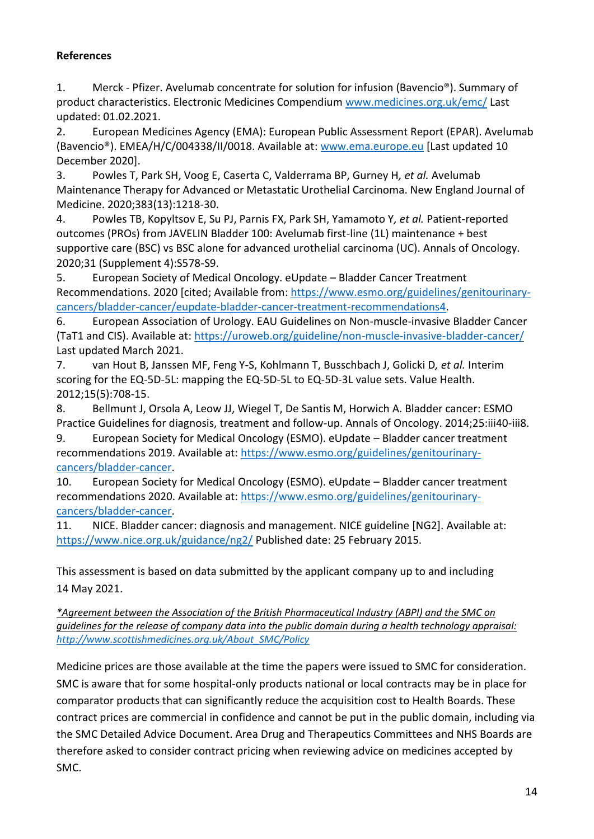#### **References**

1. Merck - Pfizer. Avelumab concentrate for solution for infusion (Bavencio®). Summary of product characteristics. Electronic Medicines Compendium [www.medicines.org.uk/emc/](file:///C:/Users/soniaz/Desktop/SUBS/13.%20AVELUMAB/1.%20PRES/www.medicines.org.uk/emc/) Last updated: 01.02.2021.

2. European Medicines Agency (EMA): European Public Assessment Report (EPAR). Avelumab (Bavencio®). EMEA/H/C/004338/II/0018. Available at: [www.ema.europe.eu](file:///C:/Users/soniaz/Desktop/SUBS/13.%20AVELUMAB/1.%20PRES/www.ema.europe.eu) [Last updated 10 December 2020].

3. Powles T, Park SH, Voog E, Caserta C, Valderrama BP, Gurney H*, et al.* Avelumab Maintenance Therapy for Advanced or Metastatic Urothelial Carcinoma. New England Journal of Medicine. 2020;383(13):1218-30.

4. Powles TB, Kopyltsov E, Su PJ, Parnis FX, Park SH, Yamamoto Y*, et al.* Patient-reported outcomes (PROs) from JAVELIN Bladder 100: Avelumab first-line (1L) maintenance + best supportive care (BSC) vs BSC alone for advanced urothelial carcinoma (UC). Annals of Oncology. 2020;31 (Supplement 4):S578-S9.

5. European Society of Medical Oncology. eUpdate – Bladder Cancer Treatment Recommendations. 2020 [cited; Available from: [https://www.esmo.org/guidelines/genitourinary](https://www.esmo.org/guidelines/genitourinary-cancers/bladder-cancer/eupdate-bladder-cancer-treatment-recommendations4)[cancers/bladder-cancer/eupdate-bladder-cancer-treatment-recommendations4.](https://www.esmo.org/guidelines/genitourinary-cancers/bladder-cancer/eupdate-bladder-cancer-treatment-recommendations4)

6. European Association of Urology. EAU Guidelines on Non-muscle-invasive Bladder Cancer (TaT1 and CIS). Available at:<https://uroweb.org/guideline/non-muscle-invasive-bladder-cancer/> Last updated March 2021.

7. van Hout B, Janssen MF, Feng Y-S, Kohlmann T, Busschbach J, Golicki D*, et al.* Interim scoring for the EQ-5D-5L: mapping the EQ-5D-5L to EQ-5D-3L value sets. Value Health. 2012;15(5):708-15.

8. Bellmunt J, Orsola A, Leow JJ, Wiegel T, De Santis M, Horwich A. Bladder cancer: ESMO Practice Guidelines for diagnosis, treatment and follow-up. Annals of Oncology. 2014;25:iii40-iii8.

9. European Society for Medical Oncology (ESMO). eUpdate – Bladder cancer treatment recommendations 2019. Available at: [https://www.esmo.org/guidelines/genitourinary](https://www.esmo.org/guidelines/genitourinary-cancers/bladder-cancer)[cancers/bladder-cancer.](https://www.esmo.org/guidelines/genitourinary-cancers/bladder-cancer)

10. European Society for Medical Oncology (ESMO). eUpdate – Bladder cancer treatment recommendations 2020. Available at: [https://www.esmo.org/guidelines/genitourinary](https://www.esmo.org/guidelines/genitourinary-cancers/bladder-cancer)[cancers/bladder-cancer.](https://www.esmo.org/guidelines/genitourinary-cancers/bladder-cancer)

11. NICE. Bladder cancer: diagnosis and management. NICE guideline [NG2]. Available at: <https://www.nice.org.uk/guidance/ng2/> Published date: 25 February 2015.

This assessment is based on data submitted by the applicant company up to and including 14 May 2021.

*\*Agreement between the Association of the British Pharmaceutical Industry (ABPI) and the SMC on guidelines for the release of company data into the public domain during a health technology appraisal: [http://www.scottishmedicines.org.uk/About\\_SMC/Policy](http://www.scottishmedicines.org.uk/About_SMC/Policy)*

Medicine prices are those available at the time the papers were issued to SMC for consideration. SMC is aware that for some hospital-only products national or local contracts may be in place for comparator products that can significantly reduce the acquisition cost to Health Boards. These contract prices are commercial in confidence and cannot be put in the public domain, including via the SMC Detailed Advice Document. Area Drug and Therapeutics Committees and NHS Boards are therefore asked to consider contract pricing when reviewing advice on medicines accepted by SMC.